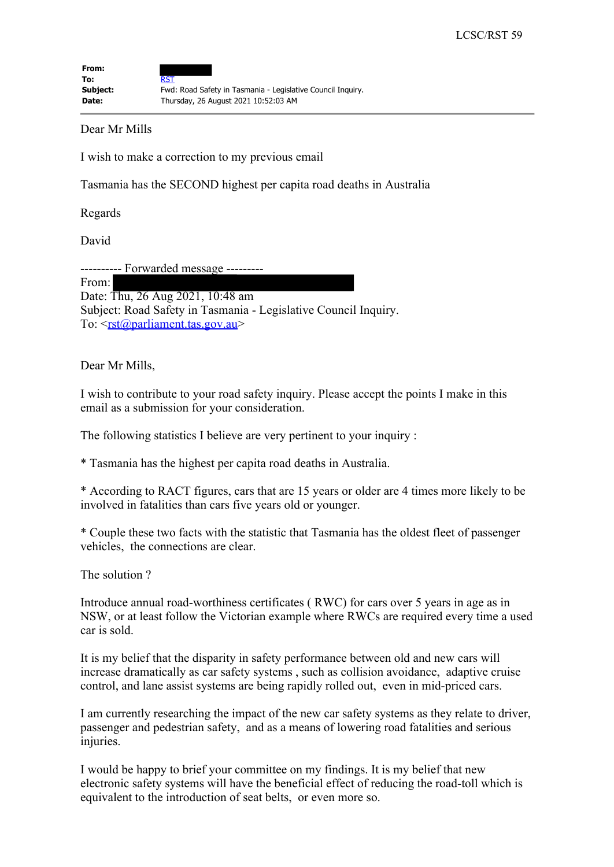| From:    |                                                             |
|----------|-------------------------------------------------------------|
| To:      | RST                                                         |
| Subject: | Fwd: Road Safety in Tasmania - Legislative Council Inguiry. |
| Date:    | Thursday, 26 August 2021 10:52:03 AM                        |

Dear Mr Mills

I wish to make a correction to my previous email

Tasmania has the SECOND highest per capita road deaths in Australia

Regards

David

---------- Forwarded message --------- From: Date: Thu, 26 Aug 2021, 10:48 am Subject: Road Safety in Tasmania - Legislative Council Inquiry. To: <rst@parliament.tas.gov.au>

Dear Mr Mills,

I wish to contribute to your road safety inquiry. Please accept the points I make in this email as a submission for your consideration.

The following statistics I believe are very pertinent to your inquiry :

\* Tasmania has the highest per capita road deaths in Australia.

\* According to RACT figures, cars that are 15 years or older are 4 times more likely to be involved in fatalities than cars five years old or younger.

\* Couple these two facts with the statistic that Tasmania has the oldest fleet of passenger vehicles, the connections are clear.

The solution ?

Introduce annual road-worthiness certificates ( RWC) for cars over 5 years in age as in NSW, or at least follow the Victorian example where RWCs are required every time a used car is sold.

It is my belief that the disparity in safety performance between old and new cars will increase dramatically as car safety systems , such as collision avoidance, adaptive cruise control, and lane assist systems are being rapidly rolled out, even in mid-priced cars.

I am currently researching the impact of the new car safety systems as they relate to driver, passenger and pedestrian safety, and as a means of lowering road fatalities and serious injuries.

I would be happy to brief your committee on my findings. It is my belief that new electronic safety systems will have the beneficial effect of reducing the road-toll which is equivalent to the introduction of seat belts, or even more so.